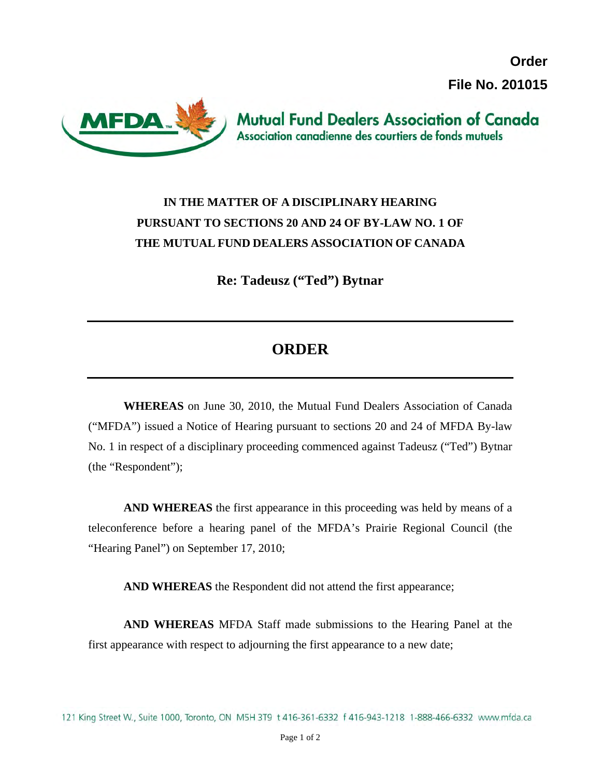**Order File No. 201015**



## **IN THE MATTER OF A DISCIPLINARY HEARING PURSUANT TO SECTIONS 20 AND 24 OF BY-LAW NO. 1 OF THE MUTUAL FUND DEALERS ASSOCIATION OF CANADA**

**Re: Tadeusz ("Ted") Bytnar** 

## **ORDER**

**WHEREAS** on June 30, 2010, the Mutual Fund Dealers Association of Canada ("MFDA") issued a Notice of Hearing pursuant to sections 20 and 24 of MFDA By-law No. 1 in respect of a disciplinary proceeding commenced against Tadeusz ("Ted") Bytnar (the "Respondent");

**AND WHEREAS** the first appearance in this proceeding was held by means of a teleconference before a hearing panel of the MFDA's Prairie Regional Council (the "Hearing Panel") on September 17, 2010;

**AND WHEREAS** the Respondent did not attend the first appearance;

**AND WHEREAS** MFDA Staff made submissions to the Hearing Panel at the first appearance with respect to adjourning the first appearance to a new date;